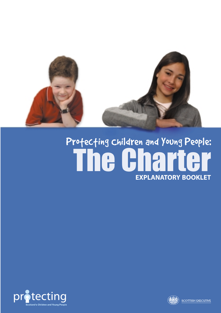

# Protecting Children and Young People: The Charter **EXPLANATORY BOOKLET**



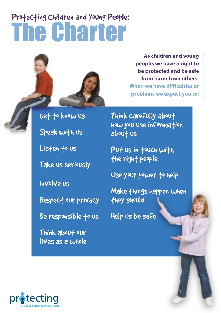# Profecting children and Young People: The Charter



Get to know us

Speak with us

Listen to us

Take us seriously

Involve us

Respect our privacy

Be responsible to us

Think about our lives as a whole

**As children and young people, we have a right to be protected and be safe from harm from others. When we have difficulties or problems we expect you to:**

Think carefully about how you use information about us

Put us in touch with the right people

Use your power to help

Make things happen when they should

Help us be safe

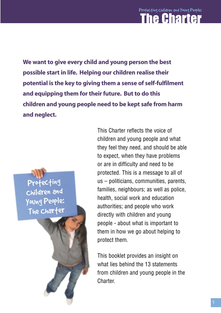**We want to give every child and young person the best possible start in life. Helping our children realise their potential is the key to giving them a sense of self-fulfilment and equipping them for their future. But to do this children and young people need to be kept safe from harm and neglect.**

Protecting Children and Young People: The Charter This Charter reflects the voice of children and young people and what they feel they need, and should be able to expect, when they have problems or are in difficulty and need to be protected. This is a message to all of us – politicians, communities, parents, families, neighbours; as well as police, health, social work and education authorities; and people who work directly with children and young people - about what is important to them in how we go about helping to protect them.

This booklet provides an insight on what lies behind the 13 statements from children and young people in the **Charter**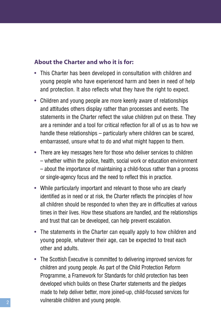#### **About the Charter and who it is for:**

- This Charter has been developed in consultation with children and young people who have experienced harm and been in need of help and protection. It also reflects what they have the right to expect.
- Children and young people are more keenly aware of relationships and attitudes others display rather than processes and events. The statements in the Charter reflect the value children put on these. They are a reminder and a tool for critical reflection for all of us as to how we handle these relationships – particularly where children can be scared, embarrassed, unsure what to do and what might happen to them.
- There are key messages here for those who deliver services to children – whether within the police, health, social work or education environment – about the importance of maintaining a child-focus rather than a process or single-agency focus and the need to reflect this in practice.
- While particularly important and relevant to those who are clearly identified as in need or at risk, the Charter reflects the principles of how all children should be responded to when they are in difficulties at various times in their lives. How these situations are handled, and the relationships and trust that can be developed, can help prevent escalation.
- The statements in the Charter can equally apply to how children and young people, whatever their age, can be expected to treat each other and adults.
- The Scottish Executive is committed to delivering improved services for children and young people. As part of the Child Protection Reform Programme, a Framework for Standards for child protection has been developed which builds on these Charter statements and the pledges made to help deliver better, more joined-up, child-focused services for vulnerable children and young people.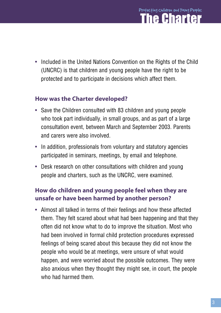## Protecting Children and Young People: he Charter

• Included in the United Nations Convention on the Rights of the Child (UNCRC) is that children and young people have the right to be protected and to participate in decisions which affect them.

#### **How was the Charter developed?**

- Save the Children consulted with 83 children and young people who took part individually, in small groups, and as part of a large consultation event, between March and September 2003. Parents and carers were also involved.
- In addition, professionals from voluntary and statutory agencies participated in seminars, meetings, by email and telephone.
- Desk research on other consultations with children and young people and charters, such as the UNCRC, were examined.

#### **How do children and young people feel when they are unsafe or have been harmed by another person?**

• Almost all talked in terms of their feelings and how these affected them. They felt scared about what had been happening and that they often did not know what to do to improve the situation. Most who had been involved in formal child protection procedures expressed feelings of being scared about this because they did not know the people who would be at meetings, were unsure of what would happen, and were worried about the possible outcomes. They were also anxious when they thought they might see, in court, the people who had harmed them.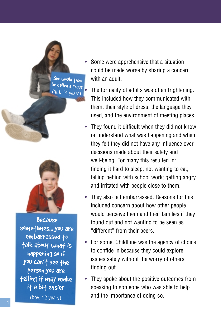She would then be called a grass  $14$  years)



Because sometimes... you are embarrassed to talk about what is happening so if you can't see the person you are telling it may make it a bit easier

(boy, 12 years)

- Some were apprehensive that a situation could be made worse by sharing a concern with an adult.
	- The formality of adults was often frightening. This included how they communicated with them, their style of dress, the language they used, and the environment of meeting places.
- They found it difficult when they did not know or understand what was happening and when they felt they did not have any influence over decisions made about their safety and well-being. For many this resulted in: finding it hard to sleep; not wanting to eat; falling behind with school work; getting angry and irritated with people close to them.
- They also felt embarrassed. Reasons for this included concern about how other people would perceive them and their families if they found out and not wanting to be seen as "different" from their peers.
- For some, ChildLine was the agency of choice to confide in because they could explore issues safely without the worry of others finding out.
- They spoke about the positive outcomes from speaking to someone who was able to help and the importance of doing so.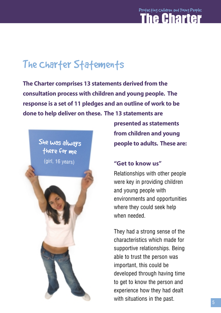### Profecting children and Young People: The Charter

# The Charter Statements

**The Charter comprises 13 statements derived from the consultation process with children and young people. The response is a set of 11 pledges and an outline of work to be done to help deliver on these. The 13 statements are**



**presented as statements from children and young people to adults. These are:**

#### **"Get to know us"**

Relationships with other people were key in providing children and young people with environments and opportunities where they could seek help when needed.

They had a strong sense of the characteristics which made for supportive relationships. Being able to trust the person was important, this could be developed through having time to get to know the person and experience how they had dealt with situations in the past.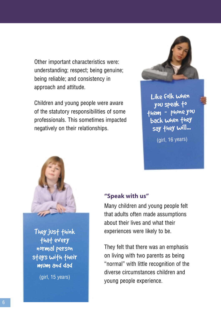Other important characteristics were: understanding; respect; being genuine; being reliable; and consistency in approach and attitude.

Children and young people were aware of the statutory responsibilities of some professionals. This sometimes impacted negatively on their relationships.



Like folk when you speak to them –- phone you back when they say they will...

(girl, 16 years)



They just think that every normal person stays with their mum and dad

(girl, 15 years)

#### **"Speak with us"**

Many children and young people felt that adults often made assumptions about their lives and what their experiences were likely to be.

They felt that there was an emphasis on living with two parents as being "normal" with little recognition of the diverse circumstances children and young people experience.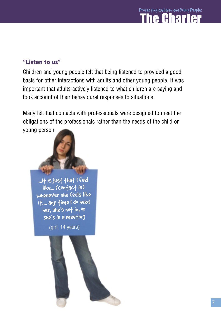

#### **"Listen to us"**

Children and young people felt that being listened to provided a good basis for other interactions with adults and other young people. It was important that adults actively listened to what children are saying and took account of their behavioural responses to situations.

Many felt that contacts with professionals were designed to meet the obligations of the professionals rather than the needs of the child or young person.

...It is just that I feel like... (contact is) whenever she feels like it.... any time I do need her, she's not in, or she's in a meeting

(girl, 14 years)

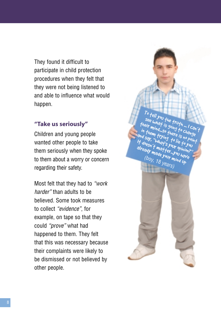They found it difficult to participate in child protection procedures when they felt that they were not being listened to and able to influence what would happen.

#### **"Take us seriously"**

Children and young people wanted other people to take them seriously when they spoke to them about a worry or concern regarding their safety.

Most felt that they had to *"work harder"* than adults to be believed. Some took measures to collect *"evidence"*, for example, on tape so that they could *"prove"* what had happened to them. They felt that this was necessary because their complaints were likely to be dismissed or not believed by other people.

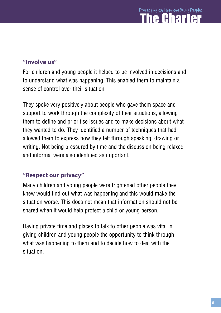#### **"Involve us"**

For children and young people it helped to be involved in decisions and to understand what was happening. This enabled them to maintain a sense of control over their situation.

They spoke very positively about people who gave them space and support to work through the complexity of their situations, allowing them to define and prioritise issues and to make decisions about what they wanted to do. They identified a number of techniques that had allowed them to express how they felt through speaking, drawing or writing. Not being pressured by time and the discussion being relaxed and informal were also identified as important.

#### **"Respect our privacy"**

Many children and young people were frightened other people they knew would find out what was happening and this would make the situation worse. This does not mean that information should not be shared when it would help protect a child or young person.

Having private time and places to talk to other people was vital in giving children and young people the opportunity to think through what was happening to them and to decide how to deal with the situation.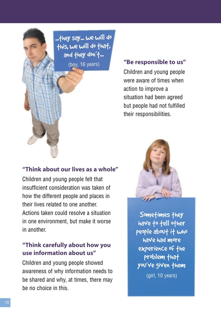...they say... we will do this, we will do that, and they don't... (boy, 16 years)

#### **"Be responsible to us"**

Children and young people were aware of times when action to improve a situation had been agreed but people had not fulfilled their responsibilities.

#### **"Think about our lives as a whole"**

Children and young people felt that insufficient consideration was taken of how the different people and places in their lives related to one another. Actions taken could resolve a situation in one environment, but make it worse in another.

#### **"Think carefully about how you use information about us"**

Children and young people showed awareness of why information needs to be shared and why, at times, there may be no choice in this.



Sometimes they have to tell other people about it who have had more experience of the problem that you've given them (girl, 10 years)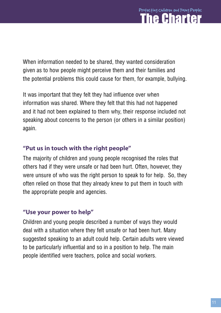## Children and Young People's Protecting Children and Young People: The Charter

When information needed to be shared, they wanted consideration given as to how people might perceive them and their families and the potential problems this could cause for them, for example, bullying.

It was important that they felt they had influence over when information was shared. Where they felt that this had not happened and it had not been explained to them why, their response included not speaking about concerns to the person (or others in a similar position) again.

#### **"Put us in touch with the right people"**

The majority of children and young people recognised the roles that others had if they were unsafe or had been hurt. Often, however, they were unsure of who was the right person to speak to for help. So, they often relied on those that they already knew to put them in touch with the appropriate people and agencies.

#### **"Use your power to help"**

Children and young people described a number of ways they would deal with a situation where they felt unsafe or had been hurt. Many suggested speaking to an adult could help. Certain adults were viewed to be particularly influential and so in a position to help. The main people identified were teachers, police and social workers.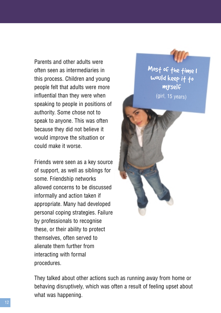Parents and other adults were often seen as intermediaries in this process. Children and young people felt that adults were more influential than they were when speaking to people in positions of authority. Some chose not to speak to anyone. This was often because they did not believe it would improve the situation or could make it worse.

Friends were seen as a key source of support, as well as siblings for some. Friendship networks allowed concerns to be discussed informally and action taken if appropriate. Many had developed personal coping strategies. Failure by professionals to recognise these, or their ability to protect themselves, often served to alienate them further from interacting with formal procedures.



Most of the time I would keep it to myself

(girl, 15 years)

They talked about other actions such as running away from home or behaving disruptively, which was often a result of feeling upset about what was happening.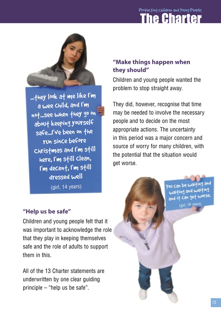# Children and Young People's Protecting Children and Young People: The Charter



...fhey look af me like I'm a wee child, and I'm not...see when they go on about keeping yourself safe...I've been on the run since before Christmas and I'm still here, I'm still clean, <sup>I</sup>'m decent, I'm still dressed well

(girl, 14 years)

#### **"Help us be safe"**

Children and young people felt that it was important to acknowledge the role that they play in keeping themselves safe and the role of adults to support them in this.

All of the 13 Charter statements are underwritten by one clear guiding principle – "help us be safe".

#### **"Make things happen when they should"**

Children and young people wanted the problem to stop straight away.

They did, however, recognise that time may be needed to involve the necessary people and to decide on the most appropriate actions. The uncertainty in this period was a major concern and source of worry for many children, with the potential that the situation would get worse.

> You can be waiting an<sup>d</sup> waiting and waiting and it can get worse. (girl, 16 years)